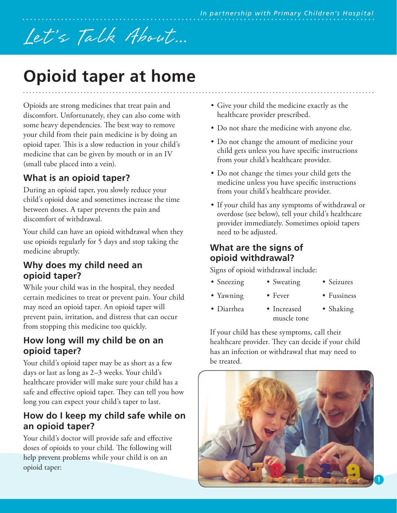# Let's Talk About...

# **Opioid taper at home**

Opioids are strong medicines that treat pain and discomfort. Unfortunately, they can also come with some heavy dependencies. The best way to remove your child from their pain medicine is by doing an opioid taper. This is a slow reduction in your child's medicine that can be given by mouth or in an IV (small tube placed into a vein).

# **What is an opioid taper?**

During an opioid taper, you slowly reduce your child's opioid dose and sometimes increase the time between doses. A taper prevents the pain and discomfort of withdrawal.

Your child can have an opioid withdrawal when they use opioids regularly for 5 days and stop taking the medicine abruptly.

### **Why does my child need an opioid taper?**

While your child was in the hospital, they needed certain medicines to treat or prevent pain. Your child may need an opioid taper. An opioid taper will prevent pain, irritation, and distress that can occur from stopping this medicine too quickly.

#### **How long will my child be on an opioid taper?**

Your child's opioid taper may be as short as a few days or last as long as 2–3 weeks. Your child's healthcare provider will make sure your child has a safe and effective opioid taper. They can tell you how long you can expect your child's taper to last.

## **How do I keep my child safe while on an opioid taper?**

Your child's doctor will provide safe and effective doses of opioids to your child. The following will help prevent problems while your child is on an opioid taper:

- Give your child the medicine exactly as the healthcare provider prescribed.
- Do not share the medicine with anyone else.
- Do not change the amount of medicine your child gets unless you have specific instructions from your child's healthcare provider.
- Do not change the times your child gets the medicine unless you have specific instructions from your child's healthcare provider.
- If your child has any symptoms of withdrawal or overdose (see below), tell your child's healthcare provider immediately. Sometimes opioid tapers need to be adjusted.

#### **What are the signs of opioid withdrawal?**

Signs of opioid withdrawal include:

• Sweating

• Fever

• Seizures

• Yawning

• Sneezing

- Fussiness
- Diarrhea
	- Increased muscle tone • Shaking

If your child has these symptoms, call their healthcare provider. They can decide if your child has an infection or withdrawal that may need to be treated.